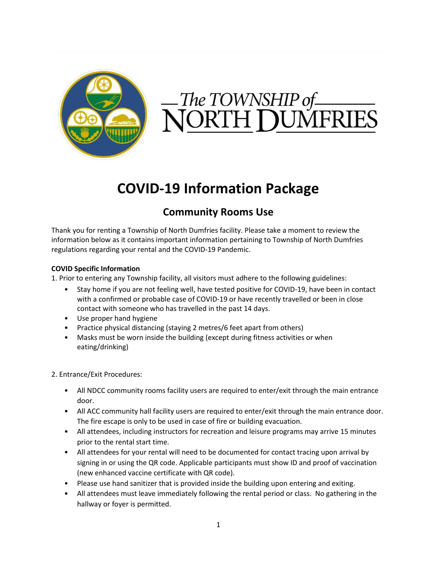

# The TOWNSHIP of<br>**JORTH DUM**

# **COVID-19 Information Package**

## **Community Rooms Use**

Thank you for renting a Township of North Dumfries facility. Please take a moment to review the information below as it contains important information pertaining to Township of North Dumfries regulations regarding your rental and the COVID-19 Pandemic.

## **COVID Specific Information**

1. Prior to entering any Township facility, all visitors must adhere to the following guidelines:

- Stay home if you are not feeling well, have tested positive for COVID-19, have been in contact with a confirmed or probable case of COVID-19 or have recently travelled or been in close contact with someone who has travelled in the past 14 days.
- Use proper hand hygiene
- Practice physical distancing (staying 2 metres/6 feet apart from others)
- Masks must be worn inside the building (except during fitness activities or when eating/drinking)

2. Entrance/Exit Procedures:

- All NDCC community rooms facility users are required to enter/exit through the main entrance door.
- All ACC community hall facility users are required to enter/exit through the main entrance door. The fire escape is only to be used in case of fire or building evacuation.
- All attendees, including instructors for recreation and leisure programs may arrive 15 minutes prior to the rental start time.
- All attendees for your rental will need to be documented for contact tracing upon arrival by signing in or using the QR code. Applicable participants must show ID and proof of vaccination (new enhanced vaccine certificate with QR code).
- Please use hand sanitizer that is provided inside the building upon entering and exiting.
- All attendees must leave immediately following the rental period or class. No gathering in the hallway or foyer is permitted.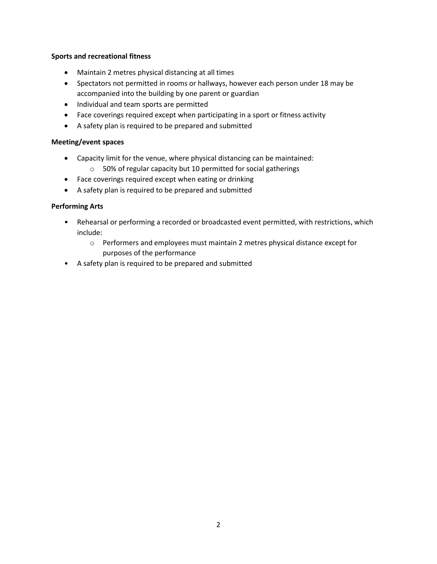#### **Sports and recreational fitness**

- Maintain 2 metres physical distancing at all times
- Spectators not permitted in rooms or hallways, however each person under 18 may be accompanied into the building by one parent or guardian
- Individual and team sports are permitted
- Face coverings required except when participating in a sport or fitness activity
- A safety plan is required to be prepared and submitted

#### **Meeting/event spaces**

- Capacity limit for the venue, where physical distancing can be maintained:
	- o 50% of regular capacity but 10 permitted for social gatherings
- Face coverings required except when eating or drinking
- A safety plan is required to be prepared and submitted

#### **Performing Arts**

- Rehearsal or performing a recorded or broadcasted event permitted, with restrictions, which include:
	- o Performers and employees must maintain 2 metres physical distance except for purposes of the performance
- A safety plan is required to be prepared and submitted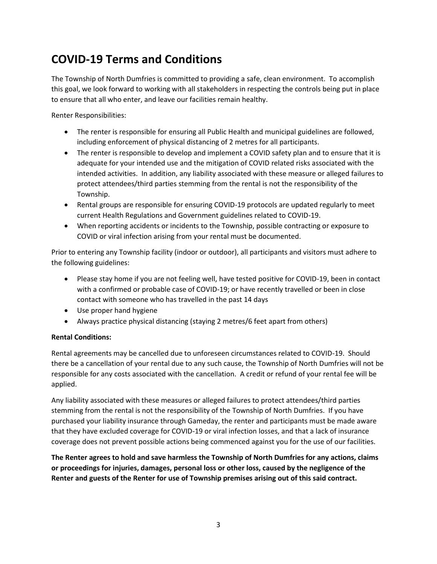# **COVID-19 Terms and Conditions**

The Township of North Dumfries is committed to providing a safe, clean environment. To accomplish this goal, we look forward to working with all stakeholders in respecting the controls being put in place to ensure that all who enter, and leave our facilities remain healthy.

Renter Responsibilities:

- The renter is responsible for ensuring all Public Health and municipal guidelines are followed, including enforcement of physical distancing of 2 metres for all participants.
- The renter is responsible to develop and implement a COVID safety plan and to ensure that it is adequate for your intended use and the mitigation of COVID related risks associated with the intended activities. In addition, any liability associated with these measure or alleged failures to protect attendees/third parties stemming from the rental is not the responsibility of the Township.
- Rental groups are responsible for ensuring COVID-19 protocols are updated regularly to meet current Health Regulations and Government guidelines related to COVID-19.
- When reporting accidents or incidents to the Township, possible contracting or exposure to COVID or viral infection arising from your rental must be documented.

Prior to entering any Township facility (indoor or outdoor), all participants and visitors must adhere to the following guidelines:

- Please stay home if you are not feeling well, have tested positive for COVID-19, been in contact with a confirmed or probable case of COVID-19; or have recently travelled or been in close contact with someone who has travelled in the past 14 days
- Use proper hand hygiene
- Always practice physical distancing (staying 2 metres/6 feet apart from others)

## **Rental Conditions:**

Rental agreements may be cancelled due to unforeseen circumstances related to COVID-19. Should there be a cancellation of your rental due to any such cause, the Township of North Dumfries will not be responsible for any costs associated with the cancellation. A credit or refund of your rental fee will be applied.

Any liability associated with these measures or alleged failures to protect attendees/third parties stemming from the rental is not the responsibility of the Township of North Dumfries. If you have purchased your liability insurance through Gameday, the renter and participants must be made aware that they have excluded coverage for COVID-19 or viral infection losses, and that a lack of insurance coverage does not prevent possible actions being commenced against you for the use of our facilities.

**The Renter agrees to hold and save harmless the Township of North Dumfries for any actions, claims or proceedings for injuries, damages, personal loss or other loss, caused by the negligence of the Renter and guests of the Renter for use of Township premises arising out of this said contract.**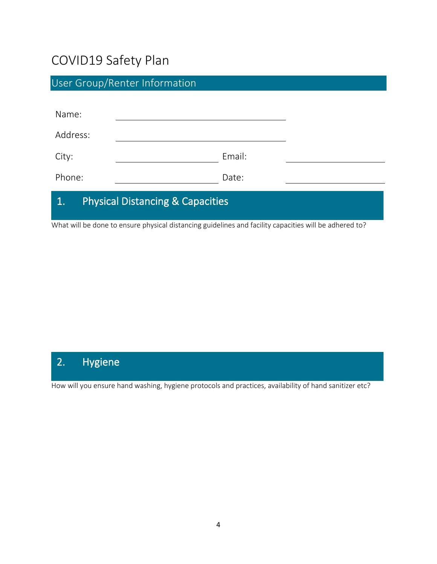# COVID19 Safety Plan

| <b>User Group/Renter Information</b>              |        |  |
|---------------------------------------------------|--------|--|
|                                                   |        |  |
| Name:                                             |        |  |
| Address:                                          |        |  |
| City:                                             | Email: |  |
| Phone:                                            | Date:  |  |
| <b>Physical Distancing &amp; Capacities</b><br>1. |        |  |

What will be done to ensure physical distancing guidelines and facility capacities will be adhered to?

# 2. Hygiene

How will you ensure hand washing, hygiene protocols and practices, availability of hand sanitizer etc?